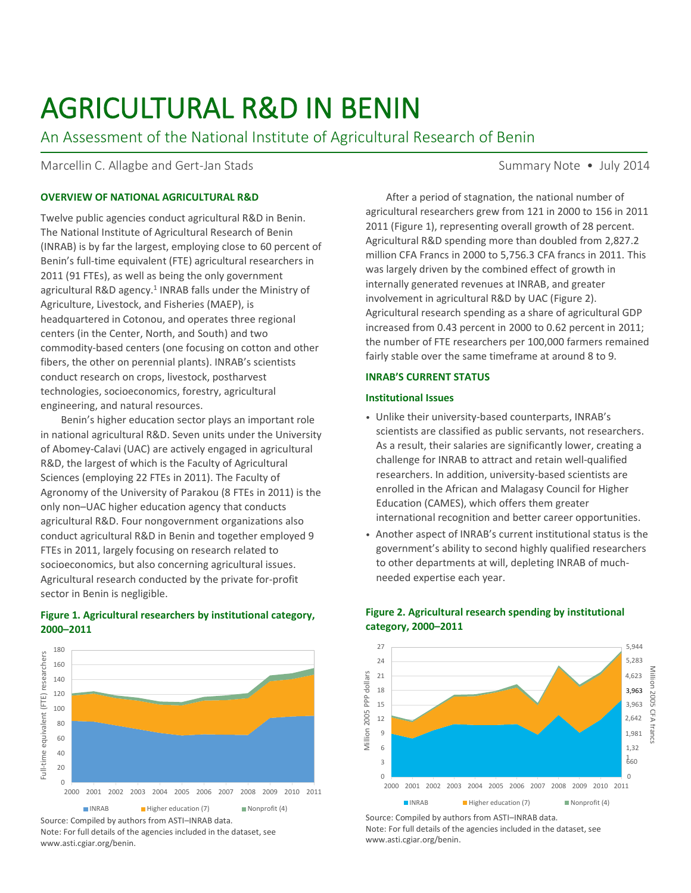# AGRICULTURAL R&D IN BENIN

An Assessment of the National Institute of Agricultural Research of Benin

Marcellin C. Allagbe and Gert-Jan Stads Summary Note • July 2014

# **OVERVIEW OF NATIONAL AGRICULTURAL R&D**

Twelve public agencies conduct agricultural R&D in Benin. The National Institute of Agricultural Research of Benin (INRAB) is by far the largest, employing close to 60 percent of Benin's full-time equivalent (FTE) agricultural researchers in 2011 (91 FTEs), as well as being the only government agricultural R&D agency.<sup>1</sup> INRAB falls under the Ministry of Agriculture, Livestock, and Fisheries (MAEP), is headquartered in Cotonou, and operates three regional centers (in the Center, North, and South) and two commodity-based centers (one focusing on cotton and other fibers, the other on perennial plants). INRAB's scientists conduct research on crops, livestock, postharvest technologies, socioeconomics, forestry, agricultural engineering, and natural resources.

Benin's higher education sector plays an important role in national agricultural R&D. Seven units under the University of Abomey-Calavi (UAC) are actively engaged in agricultural R&D, the largest of which is the Faculty of Agricultural Sciences (employing 22 FTEs in 2011). The Faculty of Agronomy of the University of Parakou (8 FTEs in 2011) is the only non–UAC higher education agency that conducts agricultural R&D. Four nongovernment organizations also conduct agricultural R&D in Benin and together employed 9 FTEs in 2011, largely focusing on research related to socioeconomics, but also concerning agricultural issues. Agricultural research conducted by the private for-profit sector in Benin is negligible.

180 Full-time equivalent (FTE) researchers Full-time equivalent (FTE) researchers 160 140 120 100 80 60 40 20  $\Omega$ 2000 2001 2002 2003 2004 2005 2006 2007 2008 2009 2010 2011  $\blacksquare$  INRAB  $\blacksquare$  Higher education (7)  $\blacksquare$  Nonprofit (4)

## **Figure 1. Agricultural researchers by institutional category, 2000–2011**

Source: Compiled by authors from ASTI–INRAB data.

Note: For full details of the agencies included in the dataset, see www.asti.cgiar.org/benin.

After a period of stagnation, the national number of agricultural researchers grew from 121 in 2000 to 156 in 2011 2011 (Figure 1), representing overall growth of 28 percent. Agricultural R&D spending more than doubled from 2,827.2 million CFA Francs in 2000 to 5,756.3 CFA francs in 2011. This was largely driven by the combined effect of growth in internally generated revenues at INRAB, and greater involvement in agricultural R&D by UAC (Figure 2). Agricultural research spending as a share of agricultural GDP increased from 0.43 percent in 2000 to 0.62 percent in 2011; the number of FTE researchers per 100,000 farmers remained fairly stable over the same timeframe at around 8 to 9.

## **INRAB'S CURRENT STATUS**

## **Institutional Issues**

- Unlike their university-based counterparts, INRAB's scientists are classified as public servants, not researchers. As a result, their salaries are significantly lower, creating a challenge for INRAB to attract and retain well-qualified researchers. In addition, university-based scientists are enrolled in the African and Malagasy Council for Higher Education (CAMES), which offers them greater international recognition and better career opportunities.
- Another aspect of INRAB's current institutional status is the government's ability to second highly qualified researchers to other departments at will, depleting INRAB of muchneeded expertise each year.



# **Figure 2. Agricultural research spending by institutional category, 2000–2011**

Source: Compiled by authors from ASTI–INRAB data. Note: For full details of the agencies included in the dataset, see www.asti.cgiar.org/benin.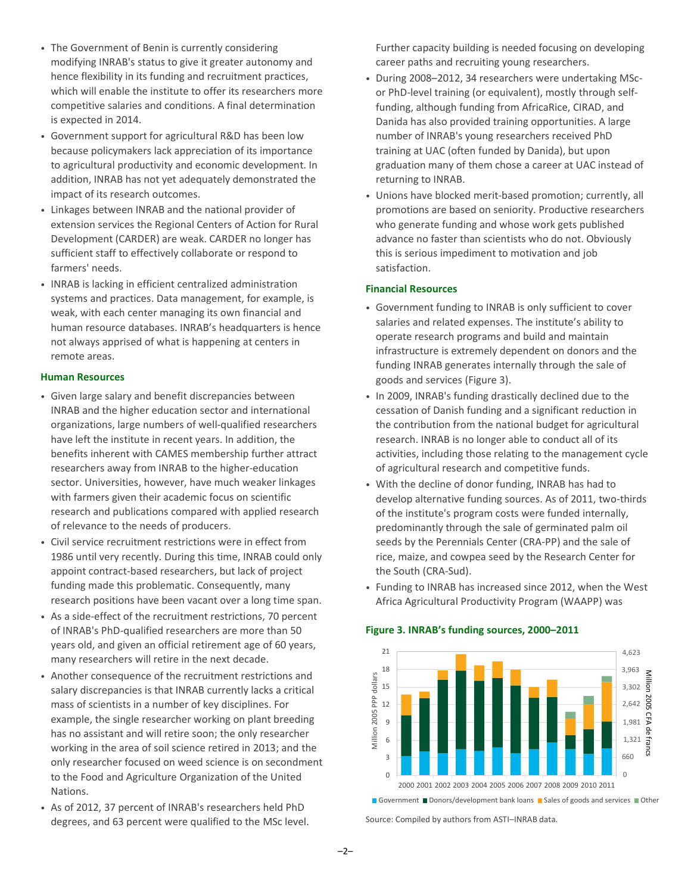- The Government of Benin is currently considering modifying INRAB's status to give it greater autonomy and hence flexibility in its funding and recruitment practices, which will enable the institute to offer its researchers more competitive salaries and conditions. A final determination is expected in 2014.
- Government support for agricultural R&D has been low because policymakers lack appreciation of its importance to agricultural productivity and economic development. In addition, INRAB has not yet adequately demonstrated the impact of its research outcomes.
- Linkages between INRAB and the national provider of extension services the Regional Centers of Action for Rural Development (CARDER) are weak. CARDER no longer has sufficient staff to effectively collaborate or respond to farmers' needs.
- INRAB is lacking in efficient centralized administration systems and practices. Data management, for example, is weak, with each center managing its own financial and human resource databases. INRAB's headquarters is hence not always apprised of what is happening at centers in remote areas.

## **Human Resources**

- Given large salary and benefit discrepancies between INRAB and the higher education sector and international organizations, large numbers of well-qualified researchers have left the institute in recent years. In addition, the benefits inherent with CAMES membership further attract researchers away from INRAB to the higher-education sector. Universities, however, have much weaker linkages with farmers given their academic focus on scientific research and publications compared with applied research of relevance to the needs of producers.
- Civil service recruitment restrictions were in effect from 1986 until very recently. During this time, INRAB could only appoint contract-based researchers, but lack of project funding made this problematic. Consequently, many research positions have been vacant over a long time span.
- As a side-effect of the recruitment restrictions, 70 percent of INRAB's PhD-qualified researchers are more than 50 years old, and given an official retirement age of 60 years, many researchers will retire in the next decade.
- Another consequence of the recruitment restrictions and salary discrepancies is that INRAB currently lacks a critical mass of scientists in a number of key disciplines. For example, the single researcher working on plant breeding has no assistant and will retire soon; the only researcher working in the area of soil science retired in 2013; and the only researcher focused on weed science is on secondment to the Food and Agriculture Organization of the United Nations.
- As of 2012, 37 percent of INRAB's researchers held PhD degrees, and 63 percent were qualified to the MSc level.

Further capacity building is needed focusing on developing career paths and recruiting young researchers.

- During 2008–2012, 34 researchers were undertaking MScor PhD-level training (or equivalent), mostly through selffunding, although funding from AfricaRice, CIRAD, and Danida has also provided training opportunities. A large number of INRAB's young researchers received PhD training at UAC (often funded by Danida), but upon graduation many of them chose a career at UAC instead of returning to INRAB.
- Unions have blocked merit-based promotion; currently, all promotions are based on seniority. Productive researchers who generate funding and whose work gets published advance no faster than scientists who do not. Obviously this is serious impediment to motivation and job satisfaction.

## **Financial Resources**

- Government funding to INRAB is only sufficient to cover salaries and related expenses. The institute's ability to operate research programs and build and maintain infrastructure is extremely dependent on donors and the funding INRAB generates internally through the sale of goods and services (Figure 3).
- In 2009, INRAB's funding drastically declined due to the cessation of Danish funding and a significant reduction in the contribution from the national budget for agricultural research. INRAB is no longer able to conduct all of its activities, including those relating to the management cycle of agricultural research and competitive funds.
- With the decline of donor funding, INRAB has had to develop alternative funding sources. As of 2011, two-thirds of the institute's program costs were funded internally, predominantly through the sale of germinated palm oil seeds by the Perennials Center (CRA-PP) and the sale of rice, maize, and cowpea seed by the Research Center for the South (CRA-Sud).
- Funding to INRAB has increased since 2012, when the West Africa Agricultural Productivity Program (WAAPP) was

## **Figure 3. INRAB's funding sources, 2000–2011**



Government Donors/development bank loans Sales of goods and services Other

Source: Compiled by authors from ASTI–INRAB data.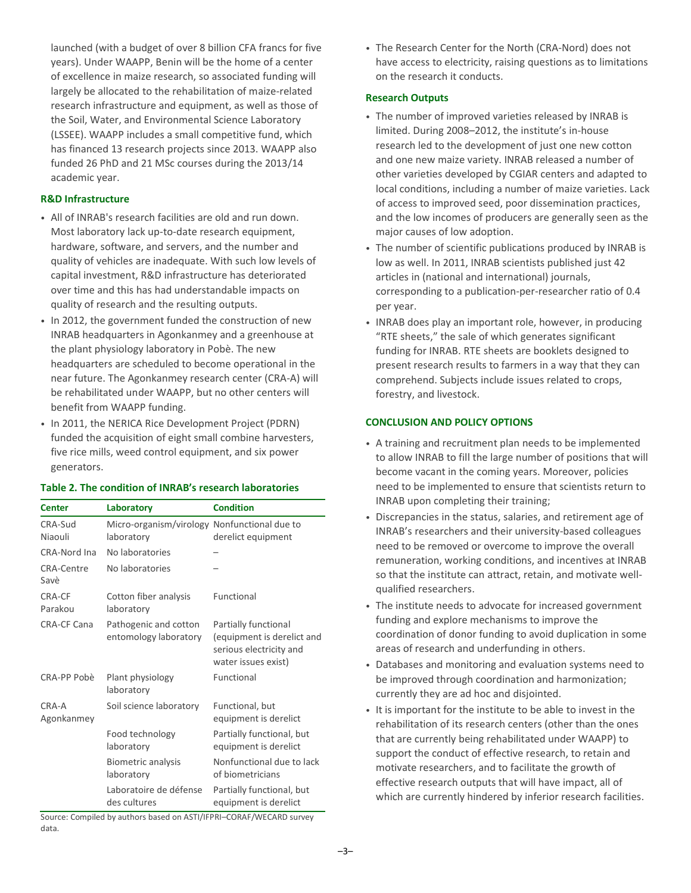launched (with a budget of over 8 billion CFA francs for five years). Under WAAPP, Benin will be the home of a center of excellence in maize research, so associated funding will largely be allocated to the rehabilitation of maize-related research infrastructure and equipment, as well as those of the Soil, Water, and Environmental Science Laboratory (LSSEE). WAAPP includes a small competitive fund, which has financed 13 research projects since 2013. WAAPP also funded 26 PhD and 21 MSc courses during the 2013/14 academic year.

# **R&D Infrastructure**

CRA-Sud Niaouli

- All of INRAB's research facilities are old and run down. Most laboratory lack up-to-date research equipment. hardware, software, and servers, and the number and quality of vehicles are inadequate. With such low levels of capital investment, R&D infrastructure has deteriorated over time and this has had understandable impacts on quality of research and the resulting outputs.
- In 2012, the government funded the construction of new INRAB headquarters in Agonkanmey and a greenhouse at the plant physiology laboratory in Pobè. The new headquarters are scheduled to become operational in the near future. The Agonkanmey research center (CRA-A) will be rehabilitated under WAAPP, but no other centers will benefit from WAAPP funding.
- In 2011, the NERICA Rice Development Project (PDRN) funded the acquisition of eight small combine harvesters, five rice mills, weed control equipment, and six power generators.

Micro-organism/virology Nonfunctional due to

derelict equipment

# **Table 2. The condition of INRAB's research laboratories**

**Center Laboratory Condition**

laboratory

| No laboratories                                |                                                                                                      |
|------------------------------------------------|------------------------------------------------------------------------------------------------------|
| No laboratories                                |                                                                                                      |
| Cotton fiber analysis<br>laboratory            | Functional                                                                                           |
| Pathogenic and cotton<br>entomology laboratory | Partially functional<br>(equipment is derelict and<br>serious electricity and<br>water issues exist) |
| Plant physiology<br>laboratory                 | Functional                                                                                           |
| Soil science laboratory                        | Functional, but<br>equipment is derelict                                                             |
| Food technology<br>laboratory                  | Partially functional, but<br>equipment is derelict                                                   |
| <b>Biometric analysis</b><br>laboratory        | Nonfunctional due to lack<br>of biometricians                                                        |
| Laboratoire de défense<br>des cultures         | Partially functional, but<br>equipment is derelict                                                   |
|                                                | $\cdots$<br>$\cdots$<br>$\overline{a}$                                                               |

Source: Compiled by authors based on ASTI/IFPRI–CORAF/WECARD survey data.

• The Research Center for the North (CRA-Nord) does not have access to electricity, raising questions as to limitations on the research it conducts.

# **Research Outputs**

- The number of improved varieties released by INRAB is limited. During 2008–2012, the institute's in-house research led to the development of just one new cotton and one new maize variety. INRAB released a number of other varieties developed by CGIAR centers and adapted to local conditions, including a number of maize varieties. Lack of access to improved seed, poor dissemination practices, and the low incomes of producers are generally seen as the major causes of low adoption.
- The number of scientific publications produced by INRAB is low as well. In 2011, INRAB scientists published just 42 articles in (national and international) journals, corresponding to a publication-per-researcher ratio of 0.4 per year.
- INRAB does play an important role, however, in producing "RTE sheets," the sale of which generates significant funding for INRAB. RTE sheets are booklets designed to present research results to farmers in a way that they can comprehend. Subjects include issues related to crops, forestry, and livestock.

# **CONCLUSION AND POLICY OPTIONS**

- A training and recruitment plan needs to be implemented to allow INRAB to fill the large number of positions that will become vacant in the coming years. Moreover, policies need to be implemented to ensure that scientists return to INRAB upon completing their training;
- Discrepancies in the status, salaries, and retirement age of INRAB's researchers and their university-based colleagues need to be removed or overcome to improve the overall remuneration, working conditions, and incentives at INRAB so that the institute can attract, retain, and motivate wellqualified researchers.
- The institute needs to advocate for increased government funding and explore mechanisms to improve the coordination of donor funding to avoid duplication in some areas of research and underfunding in others.
- Databases and monitoring and evaluation systems need to be improved through coordination and harmonization; currently they are ad hoc and disjointed.
- It is important for the institute to be able to invest in the rehabilitation of its research centers (other than the ones that are currently being rehabilitated under WAAPP) to support the conduct of effective research, to retain and motivate researchers, and to facilitate the growth of effective research outputs that will have impact, all of which are currently hindered by inferior research facilities.